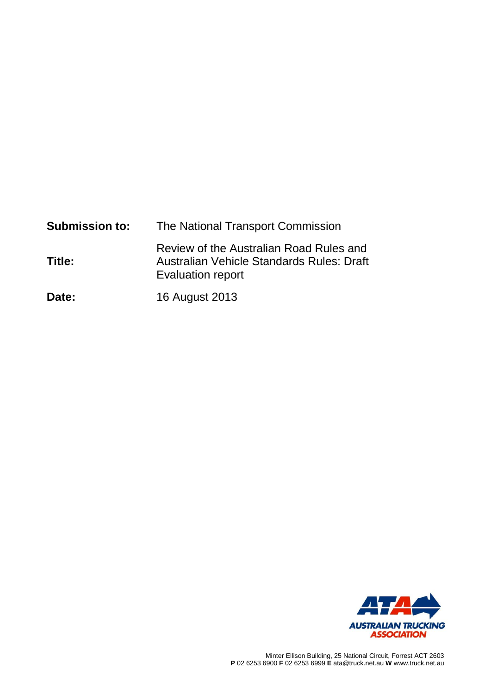| <b>Submission to:</b> | The National Transport Commission                                                                                |
|-----------------------|------------------------------------------------------------------------------------------------------------------|
| Title:                | Review of the Australian Road Rules and<br>Australian Vehicle Standards Rules: Draft<br><b>Evaluation report</b> |
| Date:                 | 16 August 2013                                                                                                   |

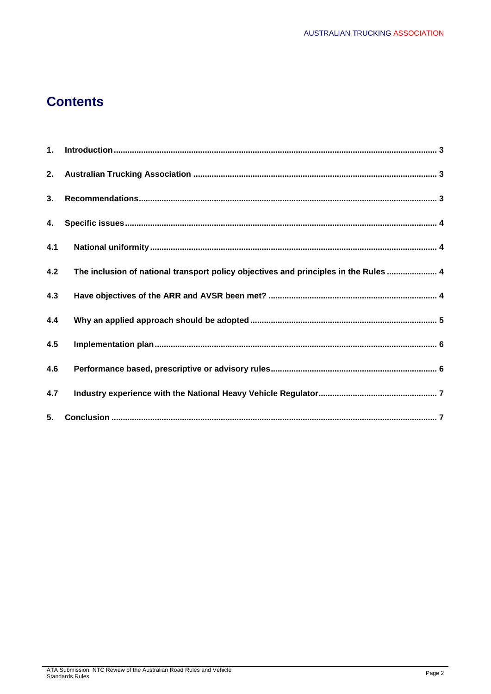# **Contents**

| 2.  |                                                                                      |  |
|-----|--------------------------------------------------------------------------------------|--|
| 3.  |                                                                                      |  |
| 4.  |                                                                                      |  |
| 4.1 |                                                                                      |  |
| 4.2 | The inclusion of national transport policy objectives and principles in the Rules  4 |  |
| 4.3 |                                                                                      |  |
| 4.4 |                                                                                      |  |
| 4.5 |                                                                                      |  |
| 4.6 |                                                                                      |  |
| 4.7 |                                                                                      |  |
| 5.  |                                                                                      |  |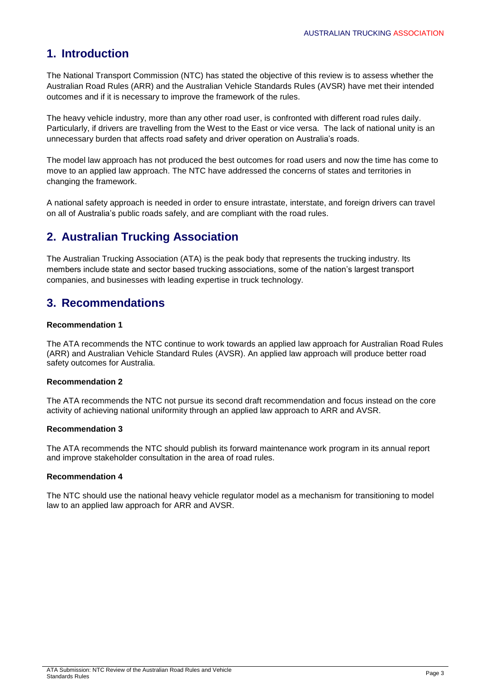### **1. Introduction**

The National Transport Commission (NTC) has stated the objective of this review is to assess whether the Australian Road Rules (ARR) and the Australian Vehicle Standards Rules (AVSR) have met their intended outcomes and if it is necessary to improve the framework of the rules.

The heavy vehicle industry, more than any other road user, is confronted with different road rules daily. Particularly, if drivers are travelling from the West to the East or vice versa. The lack of national unity is an unnecessary burden that affects road safety and driver operation on Australia's roads.

The model law approach has not produced the best outcomes for road users and now the time has come to move to an applied law approach. The NTC have addressed the concerns of states and territories in changing the framework.

A national safety approach is needed in order to ensure intrastate, interstate, and foreign drivers can travel on all of Australia's public roads safely, and are compliant with the road rules.

# **2. Australian Trucking Association**

The Australian Trucking Association (ATA) is the peak body that represents the trucking industry. Its members include state and sector based trucking associations, some of the nation's largest transport companies, and businesses with leading expertise in truck technology.

### **3. Recommendations**

#### **Recommendation 1**

The ATA recommends the NTC continue to work towards an applied law approach for Australian Road Rules (ARR) and Australian Vehicle Standard Rules (AVSR). An applied law approach will produce better road safety outcomes for Australia.

#### **Recommendation 2**

The ATA recommends the NTC not pursue its second draft recommendation and focus instead on the core activity of achieving national uniformity through an applied law approach to ARR and AVSR.

#### **Recommendation 3**

The ATA recommends the NTC should publish its forward maintenance work program in its annual report and improve stakeholder consultation in the area of road rules.

#### **Recommendation 4**

The NTC should use the national heavy vehicle regulator model as a mechanism for transitioning to model law to an applied law approach for ARR and AVSR.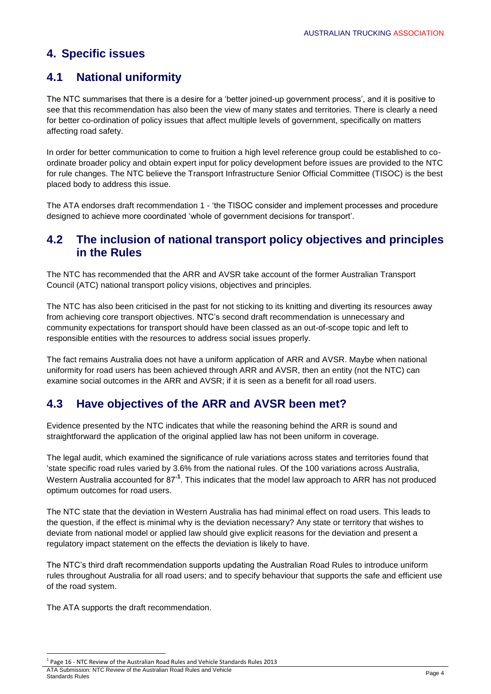# **4. Specific issues**

# **4.1 National uniformity**

The NTC summarises that there is a desire for a 'better joined-up government process', and it is positive to see that this recommendation has also been the view of many states and territories. There is clearly a need for better co-ordination of policy issues that affect multiple levels of government, specifically on matters affecting road safety.

In order for better communication to come to fruition a high level reference group could be established to coordinate broader policy and obtain expert input for policy development before issues are provided to the NTC for rule changes. The NTC believe the Transport Infrastructure Senior Official Committee (TISOC) is the best placed body to address this issue.

The ATA endorses draft recommendation 1 - 'the TISOC consider and implement processes and procedure designed to achieve more coordinated 'whole of government decisions for transport'.

### **4.2 The inclusion of national transport policy objectives and principles in the Rules**

The NTC has recommended that the ARR and AVSR take account of the former Australian Transport Council (ATC) national transport policy visions, objectives and principles.

The NTC has also been criticised in the past for not sticking to its knitting and diverting its resources away from achieving core transport objectives. NTC's second draft recommendation is unnecessary and community expectations for transport should have been classed as an out-of-scope topic and left to responsible entities with the resources to address social issues properly.

The fact remains Australia does not have a uniform application of ARR and AVSR. Maybe when national uniformity for road users has been achieved through ARR and AVSR, then an entity (not the NTC) can examine social outcomes in the ARR and AVSR; if it is seen as a benefit for all road users.

### **4.3 Have objectives of the ARR and AVSR been met?**

Evidence presented by the NTC indicates that while the reasoning behind the ARR is sound and straightforward the application of the original applied law has not been uniform in coverage.

The legal audit, which examined the significance of rule variations across states and territories found that 'state specific road rules varied by 3.6% from the national rules. Of the 100 variations across Australia, Western Australia accounted for 87<sup>'1</sup>. This indicates that the model law approach to ARR has not produced optimum outcomes for road users.

The NTC state that the deviation in Western Australia has had minimal effect on road users. This leads to the question, if the effect is minimal why is the deviation necessary? Any state or territory that wishes to deviate from national model or applied law should give explicit reasons for the deviation and present a regulatory impact statement on the effects the deviation is likely to have.

The NTC's third draft recommendation supports updating the Australian Road Rules to introduce uniform rules throughout Australia for all road users; and to specify behaviour that supports the safe and efficient use of the road system.

The ATA supports the draft recommendation.

**.** 

ATA Submission: NTC Review of the Australian Road Rules and Vehicle Arry Capmission. The Neview of the Adstralian Noad Nates and Venicie<br>Standards Rules **Page 4** <sup>1</sup> Page 16 - NTC Review of the Australian Road Rules and Vehicle Standards Rules 2013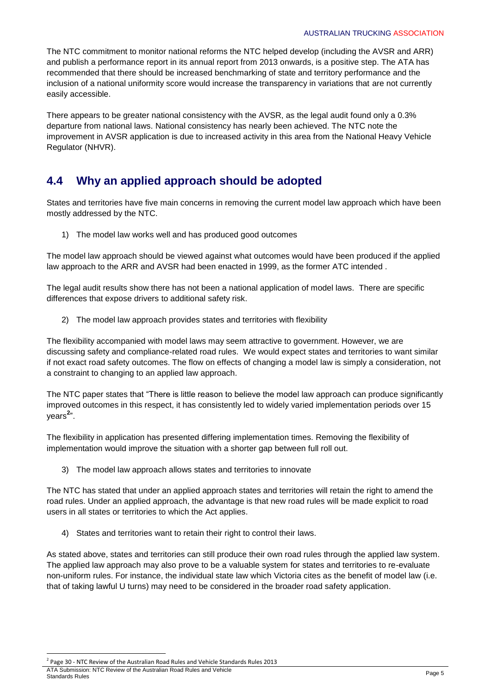The NTC commitment to monitor national reforms the NTC helped develop (including the AVSR and ARR) and publish a performance report in its annual report from 2013 onwards, is a positive step. The ATA has recommended that there should be increased benchmarking of state and territory performance and the inclusion of a national uniformity score would increase the transparency in variations that are not currently easily accessible.

There appears to be greater national consistency with the AVSR, as the legal audit found only a 0.3% departure from national laws. National consistency has nearly been achieved. The NTC note the improvement in AVSR application is due to increased activity in this area from the National Heavy Vehicle Regulator (NHVR).

# **4.4 Why an applied approach should be adopted**

States and territories have five main concerns in removing the current model law approach which have been mostly addressed by the NTC.

1) The model law works well and has produced good outcomes

The model law approach should be viewed against what outcomes would have been produced if the applied law approach to the ARR and AVSR had been enacted in 1999, as the former ATC intended .

The legal audit results show there has not been a national application of model laws. There are specific differences that expose drivers to additional safety risk.

2) The model law approach provides states and territories with flexibility

The flexibility accompanied with model laws may seem attractive to government. However, we are discussing safety and compliance-related road rules. We would expect states and territories to want similar if not exact road safety outcomes. The flow on effects of changing a model law is simply a consideration, not a constraint to changing to an applied law approach.

The NTC paper states that "There is little reason to believe the model law approach can produce significantly improved outcomes in this respect, it has consistently led to widely varied implementation periods over 15 years<sup>2</sup>".

The flexibility in application has presented differing implementation times. Removing the flexibility of implementation would improve the situation with a shorter gap between full roll out.

3) The model law approach allows states and territories to innovate

The NTC has stated that under an applied approach states and territories will retain the right to amend the road rules. Under an applied approach, the advantage is that new road rules will be made explicit to road users in all states or territories to which the Act applies.

4) States and territories want to retain their right to control their laws.

As stated above, states and territories can still produce their own road rules through the applied law system. The applied law approach may also prove to be a valuable system for states and territories to re-evaluate non-uniform rules. For instance, the individual state law which Victoria cites as the benefit of model law (i.e. that of taking lawful U turns) may need to be considered in the broader road safety application.

**.** 

ATA Submission: NTC Review of the Australian Road Rules and Vehicle <sup>2</sup> Page 30 - NTC Review of the Australian Road Rules and Vehicle Standards Rules 2013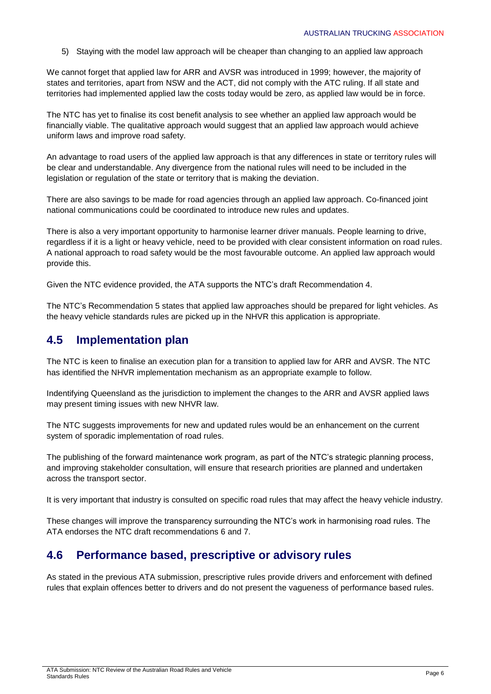5) Staying with the model law approach will be cheaper than changing to an applied law approach

We cannot forget that applied law for ARR and AVSR was introduced in 1999; however, the majority of states and territories, apart from NSW and the ACT, did not comply with the ATC ruling. If all state and territories had implemented applied law the costs today would be zero, as applied law would be in force.

The NTC has yet to finalise its cost benefit analysis to see whether an applied law approach would be financially viable. The qualitative approach would suggest that an applied law approach would achieve uniform laws and improve road safety.

An advantage to road users of the applied law approach is that any differences in state or territory rules will be clear and understandable. Any divergence from the national rules will need to be included in the legislation or regulation of the state or territory that is making the deviation.

There are also savings to be made for road agencies through an applied law approach. Co-financed joint national communications could be coordinated to introduce new rules and updates.

There is also a very important opportunity to harmonise learner driver manuals. People learning to drive, regardless if it is a light or heavy vehicle, need to be provided with clear consistent information on road rules. A national approach to road safety would be the most favourable outcome. An applied law approach would provide this.

Given the NTC evidence provided, the ATA supports the NTC's draft Recommendation 4.

The NTC's Recommendation 5 states that applied law approaches should be prepared for light vehicles. As the heavy vehicle standards rules are picked up in the NHVR this application is appropriate.

### **4.5 Implementation plan**

The NTC is keen to finalise an execution plan for a transition to applied law for ARR and AVSR. The NTC has identified the NHVR implementation mechanism as an appropriate example to follow.

Indentifying Queensland as the jurisdiction to implement the changes to the ARR and AVSR applied laws may present timing issues with new NHVR law.

The NTC suggests improvements for new and updated rules would be an enhancement on the current system of sporadic implementation of road rules.

The publishing of the forward maintenance work program, as part of the NTC's strategic planning process, and improving stakeholder consultation, will ensure that research priorities are planned and undertaken across the transport sector.

It is very important that industry is consulted on specific road rules that may affect the heavy vehicle industry.

These changes will improve the transparency surrounding the NTC's work in harmonising road rules. The ATA endorses the NTC draft recommendations 6 and 7.

### **4.6 Performance based, prescriptive or advisory rules**

As stated in the previous ATA submission, prescriptive rules provide drivers and enforcement with defined rules that explain offences better to drivers and do not present the vagueness of performance based rules.